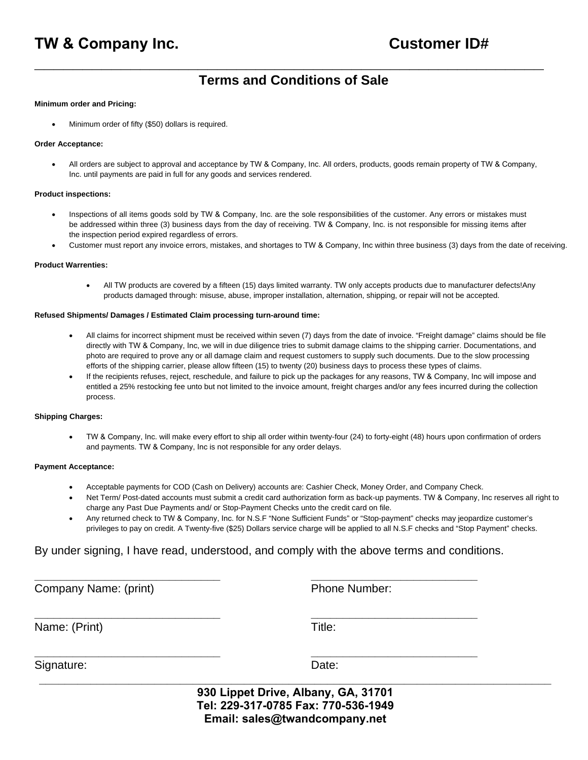# **\_\_\_\_\_\_\_\_\_\_\_\_\_\_\_\_\_\_\_\_\_\_\_\_\_\_\_\_\_\_\_\_\_\_\_\_\_\_\_\_\_\_\_\_\_\_\_\_\_\_\_\_\_ Terms and Conditions of Sale**

### **Minimum order and Pricing:**

Minimum order of fifty (\$50) dollars is required.

## **Order Acceptance:**

• All orders are subject to approval and acceptance by TW & Company, Inc. All orders, products, goods remain property of TW & Company, Inc. until payments are paid in full for any goods and services rendered.

## **Product inspections:**

- Inspections of all items goods sold by TW & Company, Inc. are the sole responsibilities of the customer. Any errors or mistakes must be addressed within three (3) business days from the day of receiving. TW & Company, Inc. is not responsible for missing items after the inspection period expired regardless of errors.
- Customer must report any invoice errors, mistakes, and shortages to TW & Company, Inc within three business (3) days from the date of receiving.

#### **Product Warrenties:**

• All TW products are covered by a fifteen (15) days limited warranty. TW only accepts products due to manufacturer defects!Any products damaged through: misuse, abuse, improper installation, alternation, shipping, or repair will not be accepted.

# **Refused Shipments/ Damages / Estimated Claim processing turn-around time:**

- All claims for incorrect shipment must be received within seven (7) days from the date of invoice. "Freight damage" claims should be file directly with TW & Company, Inc, we will in due diligence tries to submit damage claims to the shipping carrier. Documentations, and photo are required to prove any or all damage claim and request customers to supply such documents. Due to the slow processing efforts of the shipping carrier, please allow fifteen (15) to twenty (20) business days to process these types of claims.
- If the recipients refuses, reject, reschedule, and failure to pick up the packages for any reasons, TW & Company, Inc will impose and entitled a 25% restocking fee unto but not limited to the invoice amount, freight charges and/or any fees incurred during the collection process.

# **Shipping Charges:**

• TW & Company, Inc. will make every effort to ship all order within twenty-four (24) to forty-eight (48) hours upon confirmation of orders and payments. TW & Company, Inc is not responsible for any order delays.

#### **Payment Acceptance:**

- Acceptable payments for COD (Cash on Delivery) accounts are: Cashier Check, Money Order, and Company Check.
- Net Term/ Post-dated accounts must submit a credit card authorization form as back-up payments. TW & Company, Inc reserves all right to charge any Past Due Payments and/ or Stop-Payment Checks unto the credit card on file.
- Any returned check to TW & Company, Inc. for N.S.F "None Sufficient Funds" or "Stop-payment" checks may jeopardize customer's privileges to pay on credit. A Twenty-five (\$25) Dollars service charge will be applied to all N.S.F checks and "Stop Payment" checks.

# By under signing, I have read, understood, and comply with the above terms and conditions.

**\_\_\_\_\_\_\_\_\_\_\_\_\_\_\_\_\_\_\_\_\_\_\_\_\_\_\_\_\_ \_\_\_\_\_\_\_\_\_\_\_\_\_\_\_\_\_\_\_\_\_\_\_\_\_\_**

**\_\_\_\_\_\_\_\_\_\_\_\_\_\_\_\_\_\_\_\_\_\_\_\_\_\_\_\_\_ \_\_\_\_\_\_\_\_\_\_\_\_\_\_\_\_\_\_\_\_\_\_\_\_\_\_**

**\_\_\_\_\_\_\_\_\_\_\_\_\_\_\_\_\_\_\_\_\_\_\_\_\_\_\_\_\_ \_\_\_\_\_\_\_\_\_\_\_\_\_\_\_\_\_\_\_\_\_\_\_\_\_\_**

Company Name: (print) **Phone Number:** 

Name: (Print) Title:

Signature: Date: Date: Date: Date: Date: Date: Date: Date: Date: Date: Date: Date: Date: Date: Date: Date: Date: Date: Date: Date: Date: Date: Date: Date: Date: Date: Date: Date: Date: Date: Date: Date: Date: Date: Date: D

**930 Lippet Drive, Albany, GA, 31701 Tel: 229-317-0785 Fax: 770-536-1949 Email: sales@twandcompany.net** 

**\_\_\_\_\_\_\_\_\_\_\_\_\_\_\_\_\_\_\_\_\_\_\_\_\_\_\_\_\_\_\_\_\_\_\_\_\_\_\_\_\_\_\_\_\_\_\_\_\_\_\_\_\_\_\_\_\_\_\_\_\_\_\_\_\_\_\_\_\_\_\_\_\_\_\_\_\_\_\_\_**